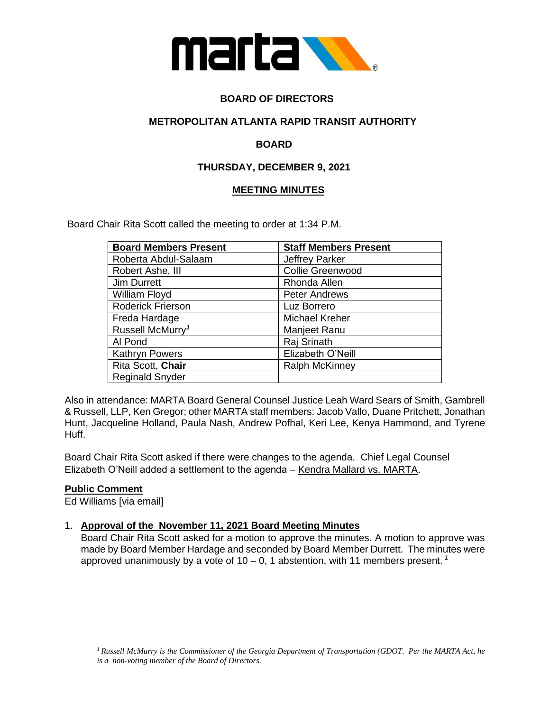

# **BOARD OF DIRECTORS**

## **METROPOLITAN ATLANTA RAPID TRANSIT AUTHORITY**

# **BOARD**

# **THURSDAY, DECEMBER 9, 2021**

## **MEETING MINUTES**

Board Chair Rita Scott called the meeting to order at 1:34 P.M.

| <b>Board Members Present</b> | <b>Staff Members Present</b> |
|------------------------------|------------------------------|
| Roberta Abdul-Salaam         | <b>Jeffrey Parker</b>        |
| Robert Ashe, III             | <b>Collie Greenwood</b>      |
| Jim Durrett                  | Rhonda Allen                 |
| William Floyd                | <b>Peter Andrews</b>         |
| Roderick Frierson            | Luz Borrero                  |
| Freda Hardage                | Michael Kreher               |
| Russell McMurry <sup>1</sup> | Manjeet Ranu                 |
| Al Pond                      | Raj Srinath                  |
| <b>Kathryn Powers</b>        | Elizabeth O'Neill            |
| Rita Scott, Chair            | <b>Ralph McKinney</b>        |
| <b>Reginald Snyder</b>       |                              |

Also in attendance: MARTA Board General Counsel Justice Leah Ward Sears of Smith, Gambrell & Russell, LLP, Ken Gregor; other MARTA staff members: Jacob Vallo, Duane Pritchett, Jonathan Hunt, Jacqueline Holland, Paula Nash, Andrew Pofhal, Keri Lee, Kenya Hammond, and Tyrene Huff.

Board Chair Rita Scott asked if there were changes to the agenda. Chief Legal Counsel Elizabeth O'Neill added a settlement to the agenda – Kendra Mallard vs. MARTA.

## **Public Comment**

Ed Williams [via email]

## 1. **Approval of the November 11, 2021 Board Meeting Minutes**

Board Chair Rita Scott asked for a motion to approve the minutes. A motion to approve was made by Board Member Hardage and seconded by Board Member Durrett. The minutes were approved unanimously by a vote of 10 – 0, 1 abstention, with 11 members present. *<sup>1</sup>*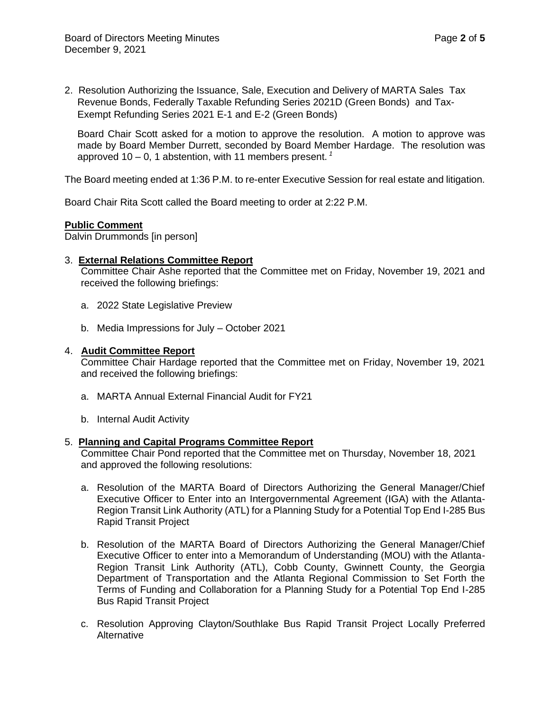2. Resolution Authorizing the Issuance, Sale, Execution and Delivery of MARTA Sales Tax Revenue Bonds, Federally Taxable Refunding Series 2021D (Green Bonds) and Tax-Exempt Refunding Series 2021 E-1 and E-2 (Green Bonds)

Board Chair Scott asked for a motion to approve the resolution. A motion to approve was made by Board Member Durrett, seconded by Board Member Hardage. The resolution was approved 10 – 0, 1 abstention, with 11 members present. *<sup>1</sup>*

The Board meeting ended at 1:36 P.M. to re-enter Executive Session for real estate and litigation.

Board Chair Rita Scott called the Board meeting to order at 2:22 P.M.

#### **Public Comment**

Dalvin Drummonds [in person]

### 3. **External Relations Committee Report**

Committee Chair Ashe reported that the Committee met on Friday, November 19, 2021 and received the following briefings:

- a. 2022 State Legislative Preview
- b. Media Impressions for July October 2021

#### 4. **Audit Committee Report**

Committee Chair Hardage reported that the Committee met on Friday, November 19, 2021 and received the following briefings:

- a. MARTA Annual External Financial Audit for FY21
- b. Internal Audit Activity

#### 5. **Planning and Capital Programs Committee Report**

Committee Chair Pond reported that the Committee met on Thursday, November 18, 2021 and approved the following resolutions:

- a. Resolution of the MARTA Board of Directors Authorizing the General Manager/Chief Executive Officer to Enter into an Intergovernmental Agreement (IGA) with the Atlanta-Region Transit Link Authority (ATL) for a Planning Study for a Potential Top End I-285 Bus Rapid Transit Project
- b. Resolution of the MARTA Board of Directors Authorizing the General Manager/Chief Executive Officer to enter into a Memorandum of Understanding (MOU) with the Atlanta-Region Transit Link Authority (ATL), Cobb County, Gwinnett County, the Georgia Department of Transportation and the Atlanta Regional Commission to Set Forth the Terms of Funding and Collaboration for a Planning Study for a Potential Top End I-285 Bus Rapid Transit Project
- c. Resolution Approving Clayton/Southlake Bus Rapid Transit Project Locally Preferred Alternative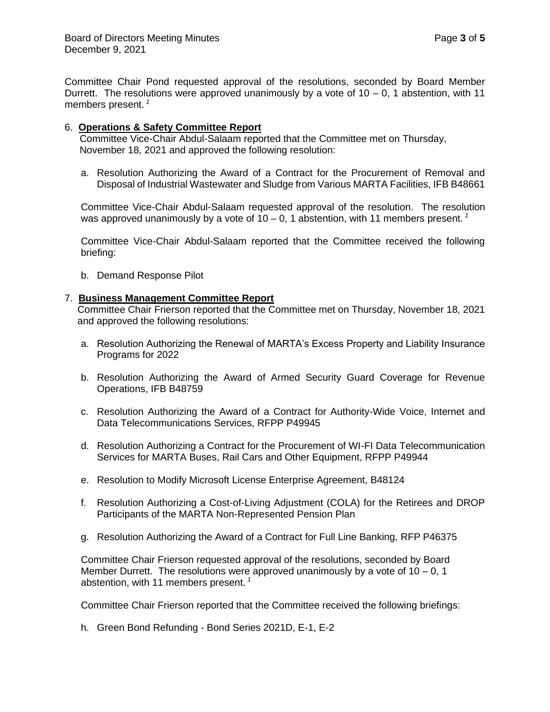Committee Chair Pond requested approval of the resolutions, seconded by Board Member Durrett. The resolutions were approved unanimously by a vote of  $10 - 0$ , 1 abstention, with 11 members present. *<sup>1</sup>*

### 6. **Operations & Safety Committee Report**

Committee Vice-Chair Abdul-Salaam reported that the Committee met on Thursday, November 18, 2021 and approved the following resolution:

a. Resolution Authorizing the Award of a Contract for the Procurement of Removal and Disposal of Industrial Wastewater and Sludge from Various MARTA Facilities, IFB B48661

Committee Vice-Chair Abdul-Salaam requested approval of the resolution. The resolution was approved unanimously by a vote of  $10 - 0$ , 1 abstention, with 11 members present.<sup>1</sup>

Committee Vice-Chair Abdul-Salaam reported that the Committee received the following briefing:

b. Demand Response Pilot

### 7. **Business Management Committee Report**

Committee Chair Frierson reported that the Committee met on Thursday, November 18, 2021 and approved the following resolutions:

- a. Resolution Authorizing the Renewal of MARTA's Excess Property and Liability Insurance Programs for 2022
- b. Resolution Authorizing the Award of Armed Security Guard Coverage for Revenue Operations, IFB B48759
- c. Resolution Authorizing the Award of a Contract for Authority-Wide Voice, Internet and Data Telecommunications Services, RFPP P49945
- d. Resolution Authorizing a Contract for the Procurement of WI-FI Data Telecommunication Services for MARTA Buses, Rail Cars and Other Equipment, RFPP P49944
- e. Resolution to Modify Microsoft License Enterprise Agreement, B48124
- f. Resolution Authorizing a Cost-of-Living Adjustment (COLA) for the Retirees and DROP Participants of the MARTA Non-Represented Pension Plan
- g. Resolution Authorizing the Award of a Contract for Full Line Banking, RFP P46375

Committee Chair Frierson requested approval of the resolutions, seconded by Board Member Durrett. The resolutions were approved unanimously by a vote of  $10 - 0$ , 1 abstention, with 11 members present. *<sup>1</sup>*

Committee Chair Frierson reported that the Committee received the following briefings:

h. Green Bond Refunding - Bond Series 2021D, E-1, E-2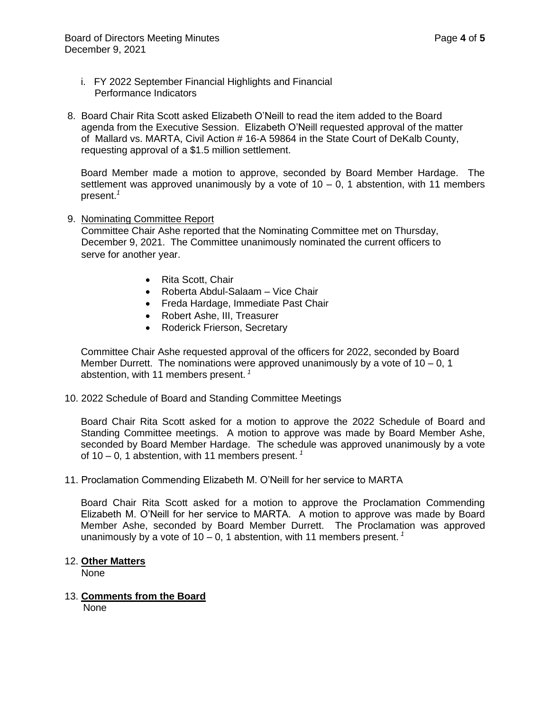- i. FY 2022 September Financial Highlights and Financial Performance Indicators
- 8. Board Chair Rita Scott asked Elizabeth O'Neill to read the item added to the Board agenda from the Executive Session. Elizabeth O'Neill requested approval of the matter of Mallard vs. MARTA, Civil Action # 16-A 59864 in the State Court of DeKalb County, requesting approval of a \$1.5 million settlement.

Board Member made a motion to approve, seconded by Board Member Hardage. The settlement was approved unanimously by a vote of  $10 - 0$ , 1 abstention, with 11 members present.*<sup>1</sup>*

#### 9. Nominating Committee Report

 Committee Chair Ashe reported that the Nominating Committee met on Thursday, December 9, 2021. The Committee unanimously nominated the current officers to serve for another year.

- Rita Scott, Chair
- Roberta Abdul-Salaam Vice Chair
- Freda Hardage, Immediate Past Chair
- Robert Ashe, III, Treasurer
- Roderick Frierson, Secretary

Committee Chair Ashe requested approval of the officers for 2022, seconded by Board Member Durrett. The nominations were approved unanimously by a vote of  $10 - 0$ , 1 abstention, with 11 members present. *<sup>1</sup>*

10. 2022 Schedule of Board and Standing Committee Meetings

Board Chair Rita Scott asked for a motion to approve the 2022 Schedule of Board and Standing Committee meetings. A motion to approve was made by Board Member Ashe, seconded by Board Member Hardage. The schedule was approved unanimously by a vote of 10 – 0, 1 abstention, with 11 members present. *<sup>1</sup>*

11. Proclamation Commending Elizabeth M. O'Neill for her service to MARTA

Board Chair Rita Scott asked for a motion to approve the Proclamation Commending Elizabeth M. O'Neill for her service to MARTA. A motion to approve was made by Board Member Ashe, seconded by Board Member Durrett. The Proclamation was approved unanimously by a vote of 10 – 0, 1 abstention, with 11 members present. *<sup>1</sup>*

#### 12. **Other Matters**

None

13. **Comments from the Board**  None